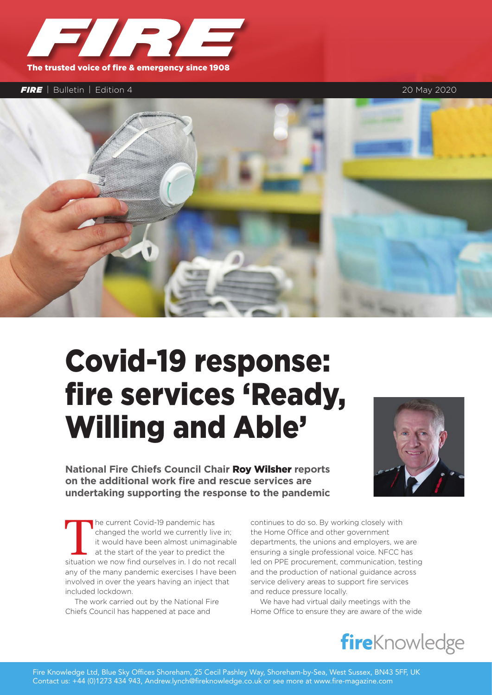

## *FIRE* | Bulletin | Edition 4 20 May 2020



## Covid-19 response: fire services 'Ready, Willing and Able'

**National Fire Chiefs Council Chair** Roy Wilsher **reports on the additional work fire and rescue services are undertaking supporting the response to the pandemic**

The current Covid-19 pandemic has<br>
changed the world we currently live in;<br>
it would have been almost unimaginable<br>
at the start of the year to predict the<br>
situation we now find ourselves in. I do not recall changed the world we currently live in; it would have been almost unimaginable at the start of the year to predict the any of the many pandemic exercises I have been involved in over the years having an inject that included lockdown.

The work carried out by the National Fire Chiefs Council has happened at pace and



continues to do so. By working closely with the Home Office and other government departments, the unions and employers, we are ensuring a single professional voice. NFCC has led on PPE procurement, communication, testing and the production of national guidance across service delivery areas to support fire services and reduce pressure locally.

We have had virtual daily meetings with the Home Office to ensure they are aware of the wide

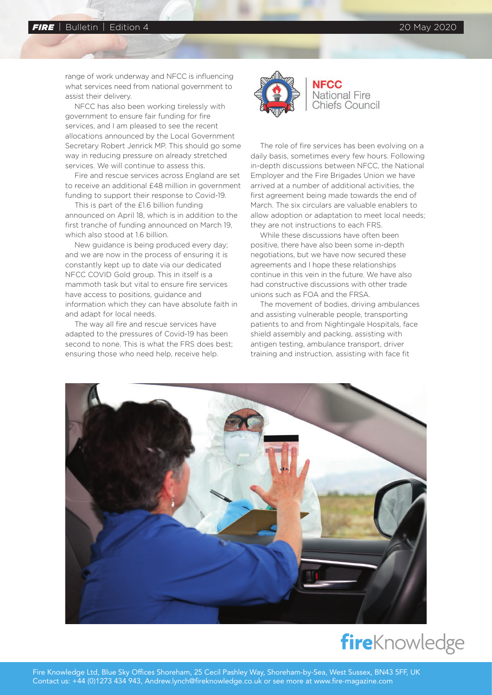range of work underway and NFCC is influencing what services need from national government to assist their delivery.

NFCC has also been working tirelessly with government to ensure fair funding for fire services, and I am pleased to see the recent allocations announced by the Local Government Secretary Robert Jenrick MP. This should go some way in reducing pressure on already stretched services. We will continue to assess this.

Fire and rescue services across England are set to receive an additional £48 million in government funding to support their response to Covid-19.

This is part of the £1.6 billion funding announced on April 18, which is in addition to the first tranche of funding announced on March 19, which also stood at 1.6 billion.

New guidance is being produced every day; and we are now in the process of ensuring it is constantly kept up to date via our dedicated NFCC COVID Gold group. This in itself is a mammoth task but vital to ensure fire services have access to positions, guidance and information which they can have absolute faith in and adapt for local needs.

The way all fire and rescue services have adapted to the pressures of Covid-19 has been second to none. This is what the FRS does best; ensuring those who need help, receive help.



## **NFCC National Fire Chiefs Council**

The role of fire services has been evolving on a daily basis, sometimes every few hours. Following in-depth discussions between NFCC, the National Employer and the Fire Brigades Union we have arrived at a number of additional activities, the first agreement being made towards the end of March. The six circulars are valuable enablers to allow adoption or adaptation to meet local needs; they are not instructions to each FRS.

While these discussions have often been positive, there have also been some in-depth negotiations, but we have now secured these agreements and I hope these relationships continue in this vein in the future. We have also had constructive discussions with other trade unions such as FOA and the FRSA.

The movement of bodies, driving ambulances and assisting vulnerable people, transporting patients to and from Nightingale Hospitals, face shield assembly and packing, assisting with antigen testing, ambulance transport, driver training and instruction, assisting with face fit